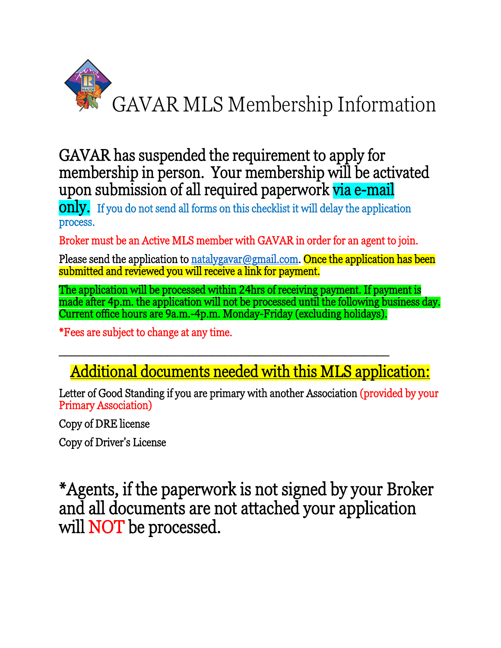

GAVAR has suspended the requirement to apply for membership in person. Your membership will be activated upon submission of all required paperwork via e-mail

**only.** If you do not send all forms on this checklist it will delay the application process.

Broker must be an Active MLS member with GAVAR in order for an agent to join.

Please send the application to [natalygavar@gmail.com.](mailto:natalygavar@gmail.com) Once the application has been submitted and reviewed you will receive a link for payment.

The application will be processed within 24hrs of receiving payment. If payment is made after 4p.m. the application will not be processed until the following business day. Current office hours are 9a.m.-4p.m. Monday-Friday (excluding holidays).

\*Fees are subject to change at any time.

## Additional documents needed with this MLS application:

\_\_\_\_\_\_\_\_\_\_\_\_\_\_\_\_\_\_\_\_\_\_\_\_\_\_\_\_\_\_\_\_\_\_\_\_\_\_\_\_\_\_\_\_\_\_\_\_\_\_\_\_

Letter of Good Standing if you are primary with another Association (provided by your Primary Association)

Copy of DRE license

Copy of Driver's License

\*Agents, if the paperwork is not signed by your Broker and all documents are not attached your application will NOT be processed.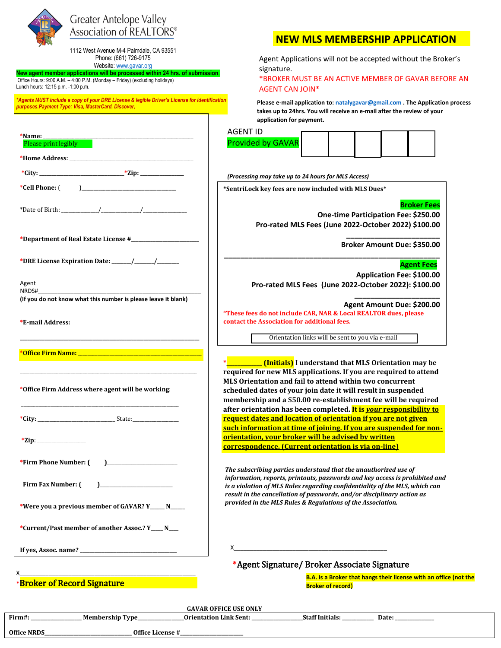

## **Greater Antelope Valley** Association of REALTORS<sup>®</sup>

1112 West Avenue M-4 Palmdale, CA 93551 Phone: (661) 726-9175

Website[: www.gavar.org](http://www.gavar.org/)

**New agent member applications will be processed within 24 hrs. of submission**. Office Hours: 9:00 A.M. – 4:00 P.M. (Monday – Friday) (excluding holidays) Lunch hours: 12:15 p.m. -1:00 p.m.

*\*Agents MUST include a copy of your DRE License & legible Driver's License for identification purposes.Payment Type: Visa, MasterCard, Discover,* 

|                                                                                    | <b>AGENT ID</b>                                                                                                                                                                                                                                                     |  |  |  |  |  |
|------------------------------------------------------------------------------------|---------------------------------------------------------------------------------------------------------------------------------------------------------------------------------------------------------------------------------------------------------------------|--|--|--|--|--|
| *Name:<br>Please print legibly                                                     | <b>Provided by GAVAR</b>                                                                                                                                                                                                                                            |  |  |  |  |  |
|                                                                                    |                                                                                                                                                                                                                                                                     |  |  |  |  |  |
| *City: __________________________________*Zip: _________________________________   | (Processing may take up to 24 hours for MLS Access)                                                                                                                                                                                                                 |  |  |  |  |  |
| *Cell Phone: $($                                                                   | *SentriLock key fees are now included with MLS Dues*                                                                                                                                                                                                                |  |  |  |  |  |
|                                                                                    | <b>One-time Participati</b><br>Pro-rated MLS Fees (June 2022-Octobe                                                                                                                                                                                                 |  |  |  |  |  |
|                                                                                    | <b>Broker Amou</b>                                                                                                                                                                                                                                                  |  |  |  |  |  |
|                                                                                    |                                                                                                                                                                                                                                                                     |  |  |  |  |  |
| Agent<br>NRDS#                                                                     | Applicati<br>Pro-rated MLS Fees (June 2022-October                                                                                                                                                                                                                  |  |  |  |  |  |
| (If you do not know what this number is please leave it blank)<br>*E-mail Address: | <b>Agent Amou</b><br>*These fees do not include CAR, NAR & Local REALTOR<br>contact the Association for additional fees.                                                                                                                                            |  |  |  |  |  |
|                                                                                    | Orientation links will be sent to you via e-                                                                                                                                                                                                                        |  |  |  |  |  |
| *Office Firm Address where agent will be working:                                  | ________ (Initials) I understand that MLS Orie:<br>required for new MLS applications. If you are rec<br>MLS Orientation and fail to attend within two cor<br>scheduled dates of your join date it will result in<br>membership and a \$50.00 re-establishment fee v |  |  |  |  |  |
|                                                                                    | after orientation has been completed. It is <i>your</i> r<br>request dates and location of orientation if you a                                                                                                                                                     |  |  |  |  |  |
| $*$ Zip:                                                                           | such information at time of joining. If you are sus<br>orientation, your broker will be advised by writt<br>correspondence. (Current orientation is via on-li                                                                                                       |  |  |  |  |  |
| *Firm Phone Number: (<br>$\mathbf{1}$                                              | The subscribing parties understand that the unauthori:                                                                                                                                                                                                              |  |  |  |  |  |
| Firm Fax Number: (<br>*Were you a previous member of GAVAR? Y_____ N____           | information, reports, printouts, passwords and key acco<br>is a violation of MLS Rules regarding confidentiality of t<br>result in the cancellation of passwords, and/or disciplin<br>provided in the MLS Rules & Regulations of the Associat                       |  |  |  |  |  |
| *Current/Past member of another Assoc.? Y___ N___                                  |                                                                                                                                                                                                                                                                     |  |  |  |  |  |
|                                                                                    | $\mathsf{X}$<br>*Acout Circustum / Dualcon Accordato Circu                                                                                                                                                                                                          |  |  |  |  |  |

## **NEW MLS MEMBERSHIP APPLICATION**

Agent Applications will not be accepted without the Broker's signature.

\*BROKER MUST BE AN ACTIVE MEMBER OF GAVAR BEFORE AN AGENT CAN JOIN\*

**Please e-mail application to[: natalygavar@gmail.com](mailto:natalygavar@gmail.com) . The Application process takes up to 24hrs. You will receive an e-mail after the review of your application for payment.** 

| AGENT ID                 |  |  |  |
|--------------------------|--|--|--|
| <b>Provided by GAVAR</b> |  |  |  |
|                          |  |  |  |

**Broker Fees**

**One-time Participation Fee: \$250.00 Pro-rated MLS Fees (June 2022-October 2022) \$100.00**

> **\_\_\_\_\_\_\_\_\_\_\_\_\_\_\_\_\_\_\_\_\_\_\_ Broker Amount Due: \$350.00**

> > **Agent Fees**

 **Application Fee: \$100.00 Pro-rated MLS Fees (June 2022-October 2022): \$100.00**

> **\_\_\_\_\_\_\_\_\_\_\_\_\_\_\_\_\_\_\_\_\_ Agent Amount Due: \$200.00**

\***These fees do not include CAR, NAR & Local REALTOR dues, please contact the Association for additional fees.** 

**\_\_\_\_\_\_\_\_\_\_\_\_\_\_\_\_\_\_\_\_\_\_\_\_\_\_\_\_\_\_\_\_\_\_\_\_\_\_\_\_\_\_\_\_\_\_\_\_\_\_\_\_\_**

Orientation links will be sent to you via e-mail

**(Initials)** I understand that MLS Orientation may be **required for new MLS applications. If you are required to attend MLS Orientation and fail to attend within two concurrent scheduled dates of your join date it will result in suspended membership and a \$50.00 re-establishment fee will be required after orientation has been completed. It is** *your* **responsibility to request dates and location of orientation if you are not given such information at time of joining. If you are suspended for nonorientation, your broker will be advised by written correspondence. (Current orientation is via on-line)**

*The subscribing parties understand that the unauthorized use of information, reports, printouts, passwords and key access is prohibited and is a violation of MLS Rules regarding confidentiality of the MLS, which can result in the cancellation of passwords, and/or disciplinary action as provided in the MLS Rules & Regulations of the Association.* 

**\***Agent Signature/ Broker Associate Signature

X\_\_\_\_\_\_\_\_\_\_\_\_\_\_\_\_\_\_\_\_\_\_\_\_\_\_\_\_\_\_\_\_\_\_\_\_\_\_\_\_\_\_\_\_\_\_\_\_\_\_\_\_\_\_ **\***Broker of Record Signature

**B.A. is a Broker that hangs their license with an office (not the Broker of record)**

| <b>GAVAR OFFICE USE ONLY</b> |                  |                               |                        |       |  |  |  |
|------------------------------|------------------|-------------------------------|------------------------|-------|--|--|--|
| Firm#:                       | Membership Type_ | <b>Orientation Link Sent:</b> | <b>Staff Initials:</b> | Date: |  |  |  |
| <b>Office NRDS</b>           |                  | Office License #              |                        |       |  |  |  |